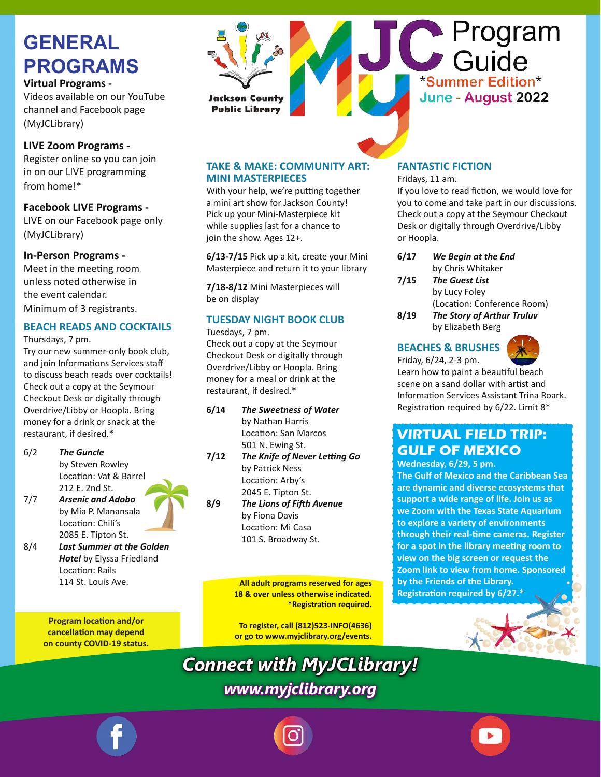# **GENERAL PROGRAMS**

**Virtual Programs -**

Videos available on our YouTube channel and Facebook page (MyJCLibrary)

#### **LIVE Zoom Programs -**

Register online so you can join in on our LIVE programming from home!\*

**Facebook LIVE Programs -** LIVE on our Facebook page only (MyJCLibrary)

#### **In-Person Programs -**

Meet in the meeting room unless noted otherwise in the event calendar. Minimum of 3 registrants.

#### **BEACH READS AND COCKTAILS**

Thursdays, 7 pm.

Try our new summer-only book club, and join Informations Services staff to discuss beach reads over cocktails! Check out a copy at the Seymour Checkout Desk or digitally through Overdrive/Libby or Hoopla. Bring money for a drink or snack at the restaurant, if desired.\*

- 6/2 *The Guncle*  by Steven Rowley Location: Vat & Barrel 212 E. 2nd St. 7/7 *Arsenic and Adobo*  by Mia P. Manansala
- Location: Chili's 2085 E. Tipton St. 8/4 *Last Summer at the Golden*
- *Hotel* by Elyssa Friedland Location: Rails 114 St. Louis Ave.

**Program location and/or cancellation may depend on county COVID-19 status.**



#### **TAKE & MAKE: COMMUNITY ART: MINI MASTERPIECES**

With your help, we're putting together a mini art show for Jackson County! Pick up your Mini-Masterpiece kit while supplies last for a chance to join the show. Ages 12+.

**6/13-7/15** Pick up a kit, create your Mini Masterpiece and return it to your library

**7/18-8/12** Mini Masterpieces will be on display

#### **TUESDAY NIGHT BOOK CLUB**

Tuesdays, 7 pm.

Check out a copy at the Seymour Checkout Desk or digitally through Overdrive/Libby or Hoopla. Bring money for a meal or drink at the restaurant, if desired.\*

- **6/14** *The Sweetness of Water* by Nathan Harris Location: San Marcos 501 N. Ewing St.
- **7/12** *The Knife of Never Letting Go* by Patrick Ness Location: Arby's 2045 E. Tipton St.
- **8/9** *The Lions of Fifth Avenue* by Fiona Davis Location: Mi Casa 101 S. Broadway St.

**All adult programs reserved for ages 18 & over unless otherwise indicated. \*Registration required.**

**To register, call (812)523-INFO(4636) or go to www.myjclibrary.org/events.**

*Connect with MyJCLibrary! www.myjclibrary.org*

#### **FANTASTIC FICTION**

Fridays, 11 am.

If you love to read fiction, we would love for you to come and take part in our discussions. Check out a copy at the Seymour Checkout Desk or digitally through Overdrive/Libby or Hoopla.

- **6/17** *We Begin at the End* by Chris Whitaker
- **7/15** *The Guest List* by Lucy Foley (Location: Conference Room)
- **8/19** *The Story of Arthur Truluv* by Elizabeth Berg

#### **BEACHES & BRUSHES**

Friday, 6/24, 2-3 pm.



Learn how to paint a beautiful beach scene on a sand dollar with artist and Information Services Assistant Trina Roark. Registration required by 6/22. Limit 8\*

#### **VIRTUAL FIELD TRIP: GULF OF MEXICO**

**Wednesday, 6/29, 5 pm. The Gulf of Mexico and the Caribbean Sea are dynamic and diverse ecosystems that support a wide range of life. Join us as we Zoom with the Texas State Aquarium to explore a variety of environments through their real-time cameras. Register for a spot in the library meeting room to view on the big screen or request the Zoom link to view from home. Sponsored by the Friends of the Library. Registration required by 6/27.\***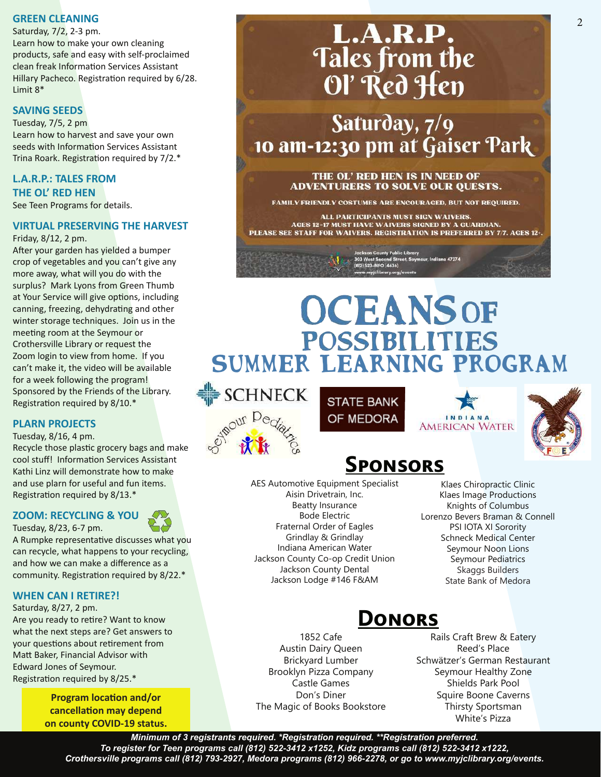#### **GREEN CLEANING**

Saturday, 7/2, 2-3 pm. Learn how to make your own cleaning products, safe and easy with self-proclaimed clean freak Information Services Assistant Hillary Pacheco. Registration required by 6/28. Limit 8\*

#### **SAVING SEEDS**

Tuesday, 7/5, 2 pm Learn how to harvest and save your own seeds with Information Services Assistant Trina Roark. Registration required by 7/2.\*

#### **L.A.R.P.: TALES FROM THE OL' RED HEN** See Teen Programs for details.

#### **VIRTUAL PRESERVING THE HARVEST**

Friday, 8/12, 2 pm.

After your garden has yielded a bumper crop of vegetables and you can't give any more away, what will you do with the surplus? Mark Lyons from Green Thumb at Your Service will give options, including canning, freezing, dehydrating and other winter storage techniques. Join us in the meeting room at the Seymour or Crothersville Library or request the Zoom login to view from home. If you can't make it, the video will be available for a week following the program! Sponsored by the Friends of the Library. Registration required by 8/10.\*

#### **PLARN PROJECTS**

Tuesday, 8/16, 4 pm.

Recycle those plastic grocery bags and make cool stuff! Information Services Assistant Kathi Linz will demonstrate how to make and use plarn for useful and fun items. Registration required by 8/13.\*

#### **ZOOM: RECYCLING & YOU**

Tuesday, 8/23, 6-7 pm.

A Rumpke representative discusses what you can recycle, what happens to your recycling, and how we can make a difference as a community. Registration required by 8/22.\*

#### **WHEN CAN I RETIRE?!**

Saturday, 8/27, 2 pm.

Are you ready to retire? Want to know what the next steps are? Get answers to your questions about retirement from Matt Baker, Financial Advisor with Edward Jones of Seymour. Registration required by 8/25.\*

> **Program location and/or cancellation may depend on county COVID-19 status.**

# **L.A.R.P.**<br>Tales from the Ol' Red Hen

Saturday, 7/9 10 am-12:30 pm at Gaiser Park

> THE OL' RED HEN IS IN NEED OF **ADVENTURERS TO SOLVE OUR QUESTS.**

FAMILY FRIENDLY COSTUMES ARE ENCOURAGED, BUT NOT REQUIRED.

ALL PARTICIPANTS MUST SIGN WAIVERS. AGES 12-17 MUST HAVE WAIVERS SIGNED BY A GUARDIAN. PLEASE SEE STAFF FOR WAIVERS. REGISTRATION IS PREFERRED BY 7/7. AGES 12-.

523-INFO (4636)

# **OCEANS OF POSSIBILITIES** Summer Learning Program

**SCHNECK** 



**STATE BANK** OF MEDORA

# **Sponsors**

AES Automotive Equipment Specialist Aisin Drivetrain, Inc. Beatty Insurance Bode Electric Fraternal Order of Eagles Grindlay & Grindlay Indiana American Water Jackson County Co-op Credit Union Jackson County Dental Jackson Lodge #146 F&AM

> 1852 Cafe Austin Dairy Queen Brickyard Lumber Brooklyn Pizza Company Castle Games Don's Diner

Klaes Chiropractic Clinic Klaes Image Productions Knights of Columbus Lorenzo Bevers Braman & Connell PSI IOTA XI Sorority Schneck Medical Center Seymour Noon Lions Seymour Pediatrics Skaggs Builders State Bank of Medora

**AMERICAN WATER** 

### **Donors**

Rails Craft Brew & Eatery Reed's Place Schwätzer's German Restaurant Seymour Healthy Zone Shields Park Pool Squire Boone Caverns Thirsty Sportsman

The Magic of Books Bookstore White's Pizza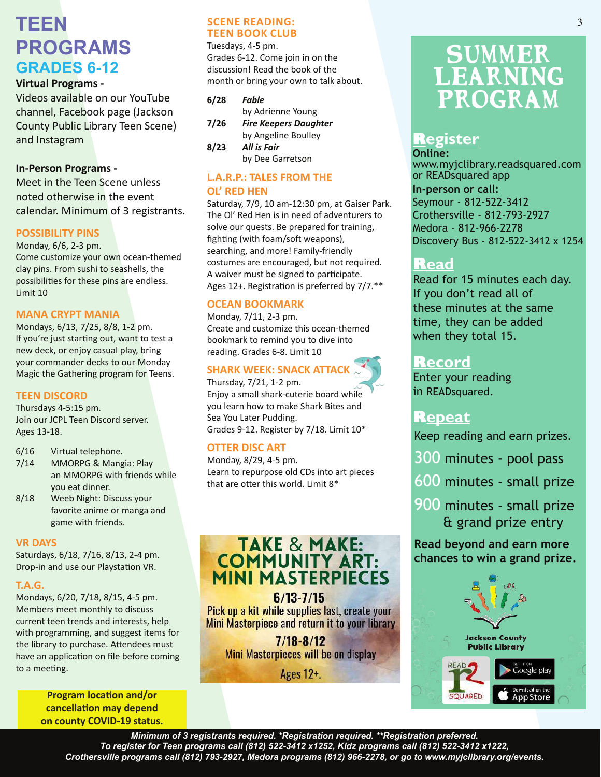## **TEEN PROGRAMS GRADES 6-12**

#### **Virtual Programs -**

Videos available on our YouTube channel, Facebook page (Jackson County Public Library Teen Scene) and Instagram

#### **In-Person Programs -**

Meet in the Teen Scene unless noted otherwise in the event calendar. Minimum of 3 registrants.

#### **POSSIBILITY PINS**

Monday, 6/6, 2-3 pm. Come customize your own ocean-themed clay pins. From sushi to seashells, the possibilities for these pins are endless. Limit 10

#### **MANA CRYPT MANIA**

Mondays, 6/13, 7/25, 8/8, 1-2 pm. If you're just starting out, want to test a new deck, or enjoy casual play, bring your commander decks to our Monday Magic the Gathering program for Teens.

#### **TEEN DISCORD**

Thursdays 4-5:15 pm. Join our JCPL Teen Discord server. Ages 13-18.

- 6/16 Virtual telephone.
- 7/14 MMORPG & Mangia: Play an MMORPG with friends while you eat dinner.
- 8/18 Weeb Night: Discuss your favorite anime or manga and game with friends.

#### **VR DAYS**

Saturdays, 6/18, 7/16, 8/13, 2-4 pm. Drop-in and use our Playstation VR.

#### **T.A.G.**

Mondays, 6/20, 7/18, 8/15, 4-5 pm. Members meet monthly to discuss current teen trends and interests, help with programming, and suggest items for the library to purchase. Attendees must have an application on file before coming to a meeting.

> **Program location and/or cancellation may depend on county COVID-19 status.**

#### **SCENE READING: TEEN BOOK CLUB**

Tuesdays, 4-5 pm. Grades 6-12. Come join in on the discussion! Read the book of the month or bring your own to talk about.

| 6/28 | Fable                        |  |  |  |
|------|------------------------------|--|--|--|
|      | by Adrienne Young            |  |  |  |
| 7/26 | <b>Fire Keepers Daughter</b> |  |  |  |
|      | by Angeline Boulley          |  |  |  |
| 8/23 | All is Fair                  |  |  |  |
|      | by Dee Garretson             |  |  |  |

#### **L.A.R.P.: TALES FROM THE OL' RED HEN**

Saturday, 7/9, 10 am-12:30 pm, at Gaiser Park. The Ol' Red Hen is in need of adventurers to solve our quests. Be prepared for training, fighting (with foam/soft weapons), searching, and more! Family-friendly costumes are encouraged, but not required. A waiver must be signed to participate. Ages 12+. Registration is preferred by 7/7.\*\*

#### **OCEAN BOOKMARK**

Monday, 7/11, 2-3 pm. Create and customize this ocean-themed bookmark to remind you to dive into reading. Grades 6-8. Limit 10

#### **SHARK WEEK: SNACK ATTACK**

Thursday, 7/21, 1-2 pm.

Enjoy a small shark-cuterie board while you learn how to make Shark Bites and Sea You Later Pudding. Grades 9-12. Register by 7/18. Limit 10\*

#### **OTTER DISC ART**

Monday, 8/29, 4-5 pm. Learn to repurpose old CDs into art pieces that are otter this world. Limit 8\*

# TAKE & MAKE:<br>COMMUNITY ART:<br>MINI MASTERPIECES

 $6/13 - 7/15$ Pick up a kit while supplies last, create your Mini Masterpiece and return it to your library

 $7/18 - 8/12$ Mini Masterpieces will be on display

Ages 12+.

# **SUMMER** Learning Program

#### **Register**

**Online:**  www.myjclibrary.readsquared.com or READsquared app **In-person or call:** Seymour - 812-522-3412 Crothersville - 812-793-2927

Medora - 812-966-2278 Discovery Bus - 812-522-3412 x 1254

#### **Read**

Read for 15 minutes each day. If you don't read all of these minutes at the same time, they can be added when they total 15.

#### **Record**

Enter your reading in READsquared.

#### **Repeat**

Keep reading and earn prizes.

- 300 minutes pool pass
- 600 minutes small prize
- 900 minutes small prize & grand prize entry

**Read beyond and earn more chances to win a grand prize.**

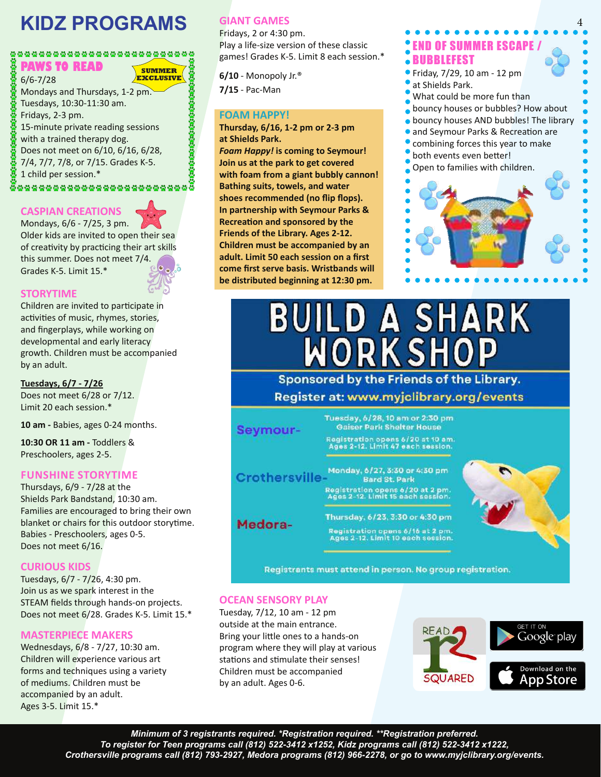# **KIDZ PROGRAMS**

#### ............................. **PAWS TO READ SUMMER**

6/6-7/28

Mondays and Thursdays, 1-2 pm. Tuesdays, 10:30-11:30 am. Fridays, 2-3 pm. 15-minute private reading sessions with a trained therapy dog. Does not meet on 6/10, 6/16, 6/28, 7/4, 7/7, 7/8, or 7/15. Grades K-5. 1 child per session.\* ,,,,,,,,,,,,,,,,,,,,,,,,,,,,,,,

#### **CASPIAN CREATIONS**

Mondays, 6/6 - 7/25, 3 pm. Older kids are invited to open their sea of creativity by practicing their art skills this summer. Does not meet 7/4. Grades K-5. Limit 15.\*

**EXCLUSIVE**

#### **STORYTIME**

Children are invited to participate in activities of music, rhymes, stories, and fingerplays, while working on developmental and early literacy growth. Children must be accompanied by an adult.

#### **Tuesdays, 6/7 - 7/26**

Does not meet 6/28 or 7/12. Limit 20 each session.\*

**10 am -** Babies, ages 0-24 months.

**10:30 OR 11 am -** Toddlers & Preschoolers, ages 2-5.

#### **FUNSHINE STORYTIME**

Thursdays, 6/9 - 7/28 at the Shields Park Bandstand, 10:30 am. Families are encouraged to bring their own blanket or chairs for this outdoor storytime. Babies - Preschoolers, ages 0-5. Does not meet 6/16.

#### **CURIOUS KIDS**

Tuesdays, 6/7 - 7/26, 4:30 pm. Join us as we spark interest in the STEAM fields through hands-on projects. Does not meet 6/28. Grades K-5. Limit 15.\*

#### **MASTERPIECE MAKERS**

Wednesdays, 6/8 - 7/27, 10:30 am. Children will experience various art forms and techniques using a variety of mediums. Children must be accompanied by an adult. Ages 3-5. Limit 15.\*

#### **GIANT GAMES**

Fridays, 2 or 4:30 pm. Play a life-size version of these classic games! Grades K-5. Limit 8 each session.\*

**6/10** - Monopoly Jr.® **7/15** - Pac-Man

#### **FOAM HAPPY!**

**Thursday, 6/16, 1-2 pm or 2-3 pm at Shields Park.**

*Foam Happy!* **is coming to Seymour! Join us at the park to get covered with foam from a giant bubbly cannon! Bathing suits, towels, and water shoes recommended (no flip flops). In partnership with Seymour Parks & Recreation and sponsored by the Friends of the Library. Ages 2-12. Children must be accompanied by an adult. Limit 50 each session on a first come first serve basis. Wristbands will be distributed beginning at 12:30 pm.**

#### END OF SUMMER ESCAPE / **BUBBLEFEST**

- Friday, 7/29, 10 am 12 pm
- at Shields Park.
- What could be more fun than
- bouncy houses or bubbles? How about
- **bouncy houses AND bubbles! The library**
- and Seymour Parks & Recreation are
- combining forces this year to make
- both events even better!



# **BUILD A SHARK**<br>WORKSHOP

Sponsored by the Friends of the Library. Register at: www.myjclibrary.org/events



Registrants must attend in person. No group registration.

#### **OCEAN SENSORY PLAY**

Tuesday, 7/12, 10 am - 12 pm outside at the main entrance. Bring your little ones to a hands-on program where they will play at various stations and stimulate their senses! Children must be accompanied by an adult. Ages 0-6.

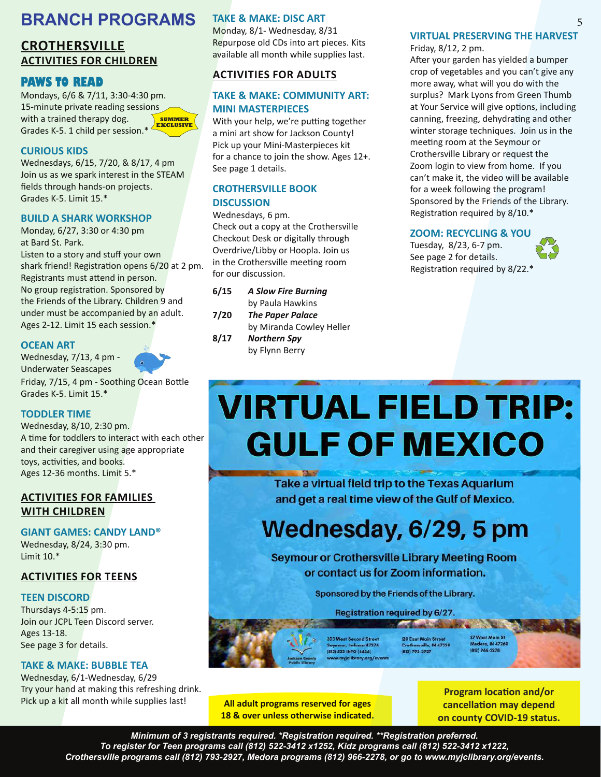#### **BRANCH PROGRAMS**

#### **CROTHERSVILLE ACTIVITIES FOR CHILDREN**

#### **PAWS TO READ**

Mondays, 6/6 & 7/11, 3:30-4:30 pm. 15-minute private reading sessions with a trained therapy dog. Grades K-5. 1 child per session.\* **SUMMER EXCLUSIVE**

#### **CURIOUS KIDS**

Wednesdays, 6/15, 7/20, & 8/17, 4 pm Join us as we spark interest in the STEAM fields through hands-on projects. Grades K-5. Limit 15.\*

#### **BUILD A SHARK WORKSHOP**

Monday, 6/27, 3:30 or 4:30 pm at Bard St. Park.

Listen to a story and stuff your own shark friend! Registration opens 6/20 at 2 pm. Registrants must attend in person. No group registration. Sponsored by the Friends of the Library. Children 9 and under must be accompanied by an adult. Ages 2-12. Limit 15 each session.\*

#### **OCEAN ART**

Wednesday, 7/13, 4 pm - Underwater Seascapes Friday, 7/15, 4 pm - Soothing Ocean Bottle Grades K-5. Limit 15.\*



Wednesday, 8/10, 2:30 pm. A time for toddlers to interact with each other and their caregiver using age appropriate toys, activities, and books. Ages 12-36 months. Limit 5.\*

#### **ACTIVITIES FOR FAMILIES WITH CHILDREN**

**GIANT GAMES: CANDY LAND®**

Wednesday, 8/24, 3:30 pm. Limit 10.\*

#### **ACTIVITIES FOR TEENS**

#### **TEEN DISCORD**

Thursdays 4-5:15 pm. Join our JCPL Teen Discord server. Ages 13-18. See page 3 for details.

#### **TAKE & MAKE: BUBBLE TEA**

Wednesday, 6/1-Wednesday, 6/29 Try your hand at making this refreshing drink. Pick up a kit all month while supplies last!

#### **TAKE & MAKE: DISC ART**

Monday, 8/1- Wednesday, 8/31 Repurpose old CDs into art pieces. Kits available all month while supplies last.

#### **ACTIVITIES FOR ADULTS**

#### **TAKE & MAKE: COMMUNITY ART: MINI MASTERPIECES**

With your help, we're putting together a mini art show for Jackson County! Pick up your Mini-Masterpieces kit for a chance to join the show. Ages 12+. See page 1 details.

#### **CROTHERSVILLE BOOK DISCUSSION**

Wednesdays, 6 pm. Check out a copy at the Crothersville Checkout Desk or digitally through Overdrive/Libby or Hoopla. Join us in the Crothersville meeting room for our discussion.

| 6/15 | <b>A Slow Fire Burning</b> |  |  |
|------|----------------------------|--|--|
|      | by Paula Hawkins           |  |  |
| 7/20 | <b>The Paper Palace</b>    |  |  |
|      | by Miranda Cowley Heller   |  |  |
| 8/17 | <b>Northern Spy</b>        |  |  |
|      | by Flynn Berry             |  |  |

#### **VIRTUAL PRESERVING THE HARVEST**

Friday, 8/12, 2 pm.

After your garden has yielded a bumper crop of vegetables and you can't give any more away, what will you do with the surplus? Mark Lyons from Green Thumb at Your Service will give options, including canning, freezing, dehydrating and other winter storage techniques. Join us in the meeting room at the Seymour or Crothersville Library or request the Zoom login to view from home. If you can't make it, the video will be available for a week following the program! Sponsored by the Friends of the Library. Registration required by 8/10.\*

#### **ZOOM: RECYCLING & YOU**

Tuesday, 8/23, 6-7 pm. See page 2 for details. Registration required by 8/22.\*

# **VIRTUAL FIELD TRIP: GULF OF MEXICO**

Take a virtual field trip to the Texas Aquarium and get a real time view of the Gulf of Mexico.

# Wednesday, 6/29, 5 pm

**Seymour or Crothersville Library Meeting Room** or contact us for Zoom information.

Sponsored by the Friends of the Library.

Registration required by 6/27.

**AREA AND IN A STATE** 

(812) 793-2927

303 West Second Stree Seymour, Indiana 47274<br>(812) 523-INFO (4636)

27 West Main St 120 East Main Street ra, IN 47260 ille, IN 47229 (612) 966-2278

**All adult programs reserved for ages 18 & over unless otherwise indicated.**

**Program location and/or cancellation may depend on county COVID-19 status.**

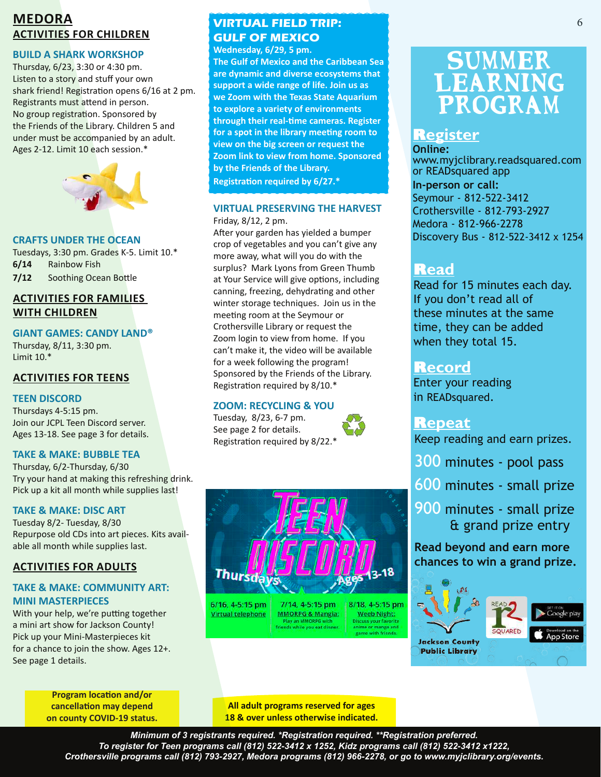#### **MEDORA ACTIVITIES FOR CHILDREN**

#### **BUILD A SHARK WORKSHOP**

Thursday, 6/23, 3:30 or 4:30 pm. Listen to a story and stuff your own shark friend! Registration opens 6/16 at 2 pm. Registrants must attend in person. No group registration. Sponsored by the Friends of the Library. Children 5 and under must be accompanied by an adult. Ages 2-12. Limit 10 each session.\*



#### **CRAFTS UNDER THE OCEAN**

Tuesdays, 3:30 pm. Grades K-5. Limit 10.\* **6/14** Rainbow Fish **7/12** Soothing Ocean Bottle

#### **ACTIVITIES FOR FAMILIES WITH CHILDREN**

**GIANT GAMES: CANDY LAND®**

Thursday, 8/11, 3:30 pm. Limit 10.\*

#### **ACTIVITIES FOR TEENS**

#### **TEEN DISCORD**

Thursdays 4-5:15 pm. Join our JCPL Teen Discord server. Ages 13-18. See page 3 for details.

#### **TAKE & MAKE: BUBBLE TEA**

Thursday, 6/2-Thursday, 6/30 Try your hand at making this refreshing drink. Pick up a kit all month while supplies last!

#### **TAKE & MAKE: DISC ART**

Tuesday 8/2- Tuesday, 8/30 Repurpose old CDs into art pieces. Kits available all month while supplies last.

#### **ACTIVITIES FOR ADULTS**

#### **TAKE & MAKE: COMMUNITY ART: MINI MASTERPIECES**

With your help, we're putting together a mini art show for Jackson County! Pick up your Mini-Masterpieces kit for a chance to join the show. Ages 12+. See page 1 details.

> **Program location and/or cancellation may depend on county COVID-19 status.**

#### **VIRTUAL FIELD TRIP: GULF OF MEXICO**

**Wednesday, 6/29, 5 pm.**

**The Gulf of Mexico and the Caribbean Sea are dynamic and diverse ecosystems that support a wide range of life. Join us as we Zoom with the Texas State Aquarium to explore a variety of environments through their real-time cameras. Register for a spot in the library meeting room to view on the big screen or request the Zoom link to view from home. Sponsored by the Friends of the Library. Registration required by 6/27.\***

#### **VIRTUAL PRESERVING THE HARVEST** Friday, 8/12, 2 pm.

After your garden has yielded a bumper crop of vegetables and you can't give any more away, what will you do with the surplus? Mark Lyons from Green Thumb at Your Service will give options, including canning, freezing, dehydrating and other winter storage techniques. Join us in the meeting room at the Seymour or Crothersville Library or request the Zoom login to view from home. If you can't make it, the video will be available for a week following the program! Sponsored by the Friends of the Library. Registration required by 8/10.\*

#### **ZOOM: RECYCLING & YOU**

Tuesday, 8/23, 6-7 pm. See page 2 for details. Registration required by 8/22.\*





6/16, 4-5:15 pm **Virtual telephone** 

7/14, 4-5:15 pm **MMORPG & Mangia:** Play an MMORPG with<br>riends while you eat dinner

8/18, 4-5:15 pm **Weeb Night:** scuss your favorite<br>iime or manga and rame with friends

# **SUMMER** Learning Program

#### **Register**

**Online:**  www.myjclibrary.readsquared.com or READsquared app **In-person or call:** Seymour - 812-522-3412 Crothersville - 812-793-2927 Medora - 812-966-2278 Discovery Bus - 812-522-3412 x 1254

#### **Read**

Read for 15 minutes each day. If you don't read all of these minutes at the same time, they can be added when they total 15.

#### **Record**

Enter your reading in READsquared.

#### **Repeat**

Keep reading and earn prizes.

- 300 minutes pool pass
- 600 minutes small prize
- 900 minutes small prize & grand prize entry

**Read beyond and earn more chances to win a grand prize.**





**Public Library** 

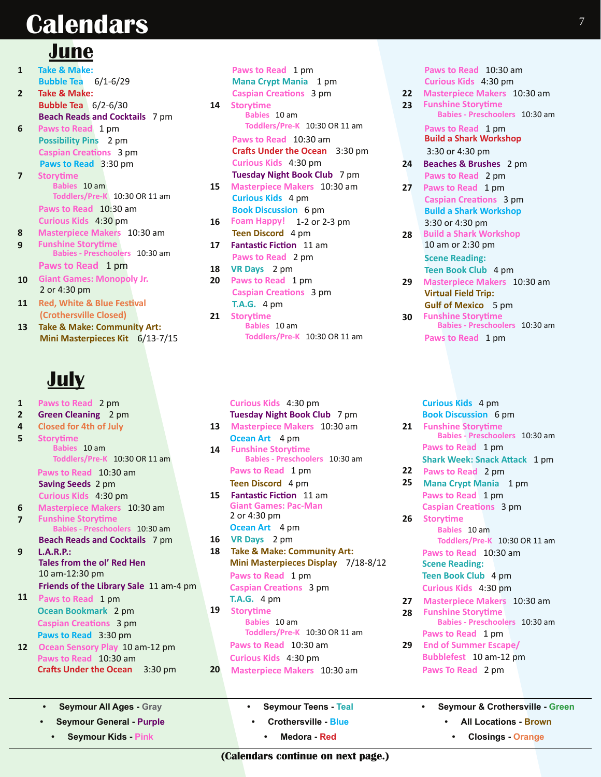# **Calendars**

### **June**

- **1 Take & Make: Bubble Tea** 6/1-6/29
- **2 Take & Make: Bubble Tea** 6/2-6/30  **Beach Reads and Cocktails** 7 pm
- **6 Paws to Read** 1 pm  **Possibility Pins** 2 pm  **Caspian Creations** 3 pm  **Paws to Read** 3:30 pm
- **7 Storytime Babies** 10 am **Toddlers/Pre-K** 10:30 OR 11 am  **Paws to Read** 10:30 am  **Curious Kids** 4:30 pm
- **8 Masterpiece Makers** 10:30 am **9 Funshine Storytime Babies - Preschoolers** 10:30 am

 **Paws to Read** 1 pm

- **10 Giant Games: Monopoly Jr.** 2 or 4:30 pm
- **11 Red, White & Blue Festival (Crothersville Closed)**
- **13 Take & Make: Community Art: Mini Masterpieces Kit** 6/13-7/15

# **July**

#### **1 Paws to Read** 2 pm **2 Green Cleaning** 2 pm **4 Closed for 4th of July 5 Storytime Babies** 10 am **Toddlers/Pre-K** 10:30 OR 11 am  **Paws to Read** 10:30 am  **Saving Seeds** 2 pm  **Curious Kids** 4:30 pm **6 Masterpiece Makers** 10:30 am **7 Funshine Storytime Babies - Preschoolers** 10:30 am  **Beach Reads and Cocktails** 7 pm **9 L.A.R.P.: Tales from the ol' Red Hen** 10 am-12:30 pm  **Friends of the Library Sale** 11 am-4 pm **11 Paws to Read** 1 pm

- **Ocean Bookmark** 2 pm  **Caspian Creations** 3 pm  **Paws to Read** 3:30 pm
- **12 Ocean Sensory Play** 10 am-12 pm  **Paws to Read** 10:30 am  **Crafts Under the Ocean** 3:30 pm
	- **Seymour All Ages Gray**
	- **Seymour General Purple**
	- **• Seymour Kids Pink**
- **Paws to Read** 1 pm  **Mana Crypt Mania** 1 pm  **Caspian Creations** 3 pm **14 Storytime Babies** 10 am **Toddlers/Pre-K** 10:30 OR 11 am  **Paws to Read** 10:30 am  **Crafts Under the Ocean** 3:30 pm  **Curious Kids** 4:30 pm  **Tuesday Night Book Club** 7 pm **15 Masterpiece Makers** 10:30 am  **Curious Kids** 4 pm  **Book Discussion** 6 pm **16 Foam Happy!** 1-2 or 2-3 pm  **Teen Discord** 4 pm **17 Fantastic Fiction** 11 am  **Paws to Read** 2 pm **18 VR Days** 2 pm **20 Paws to Read** 1 pm  **Caspian Creations** 3 pm
- **T.A.G.** 4 pm **21 Storytime Babies** 10 am **Toddlers/Pre-K** 10:30 OR 11 am

 **Curious Kids** 4:30 pm  **Tuesday Night Book Club** 7 pm **13 Masterpiece Makers** 10:30 am  **Ocean Art** 4 pm **14 Funshine Storytime Babies - Preschoolers** 10:30 am  **Paws to Read** 1 pm  **Teen Discord** 4 pm **15 Fantastic Fiction** 11 am  **Giant Games: Pac-Man** 2 or 4:30 pm **Ocean Art** 4 pm **16 VR Days** 2 pm **18 Take & Make: Community Art: Mini Masterpieces Display** 7/18-8/12  **Paws to Read** 1 pm  **Caspian Creations** 3 pm  **T.A.G.** 4 pm **19 Storytime Babies** 10 am **Toddlers/Pre-K** 10:30 OR 11 am  **Paws to Read** 10:30 am

**20 Masterpiece Makers** 10:30 am

 **Curious Kids** 4:30 pm

**• Seymour Teens - Teal • Crothersville - Blue • Medora - Red**

 **Paws to Read** 10:30 am  **Curious Kids** 4:30 pm

**22 Masterpiece Makers** 10:30 am **23 Funshine Storytime**

**Babies - Preschoolers** 10:30 am

 **Paws to Read** 1 pm  **Build a Shark Workshop** 3:30 or 4:30 pm

- **24 Beaches & Brushes** 2 pm  **Paws to Read** 2 pm
- **27 Paws to Read** 1 pm  **Caspian Creations** 3 pm  **Build a Shark Workshop** 3:30 or 4:30 pm
- **28 Build a Shark Workshop** 10 am or 2:30 pm  **Scene Reading: Teen Book Club** 4 pm
- **29 Masterpiece Makers** 10:30 am  **Virtual Field Trip: Gulf of Mexico** 5 pm
- **30 Funshine Storytime Babies - Preschoolers** 10:30 am  **Paws to Read** 1 pm

 **Curious Kids** 4 pm **Book Discussion** 6 pm

- **21 Funshine Storytime Babies - Preschoolers** 10:30 am  **Paws to Read** 1 pm  **Shark Week: Snack Attack** 1 pm
- **22 Paws to Read** 2 pm
- **25 Mana Crypt Mania** 1 pm  **Paws to Read** 1 pm **Caspian Creations** 3 pm
- **26 Storytime Babies** 10 am **Toddlers/Pre-K** 10:30 OR 11 am  **Paws to Read** 10:30 am  **Scene Reading: Teen Book Club** 4 pm  **Curious Kids** 4:30 pm
- **27 Masterpiece Makers** 10:30 am
- **28 Funshine Storytime Babies - Preschoolers** 10:30 am
- **Paws to Read 1 pm**<br>**29** End of Summer Esca **29 End of Summer Escape/ Bubblefest** 10 am-12 pm  **Paws To Read** 2 pm
	- **Seymour & Crothersville Green All Locations - Brown** 
		- **• Closings Orange**

**(Calendars continue on next page.)**